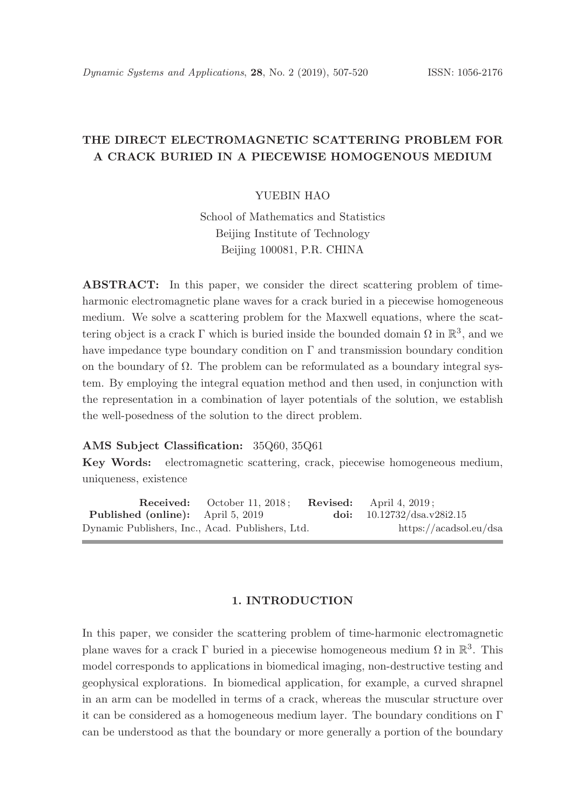# THE DIRECT ELECTROMAGNETIC SCATTERING PROBLEM FOR A CRACK BURIED IN A PIECEWISE HOMOGENOUS MEDIUM

#### YUEBIN HAO

School of Mathematics and Statistics Beijing Institute of Technology Beijing 100081, P.R. CHINA

ABSTRACT: In this paper, we consider the direct scattering problem of timeharmonic electromagnetic plane waves for a crack buried in a piecewise homogeneous medium. We solve a scattering problem for the Maxwell equations, where the scattering object is a crack  $\Gamma$  which is buried inside the bounded domain  $\Omega$  in  $\mathbb{R}^3$ , and we have impedance type boundary condition on  $\Gamma$  and transmission boundary condition on the boundary of  $\Omega$ . The problem can be reformulated as a boundary integral system. By employing the integral equation method and then used, in conjunction with the representation in a combination of layer potentials of the solution, we establish the well-posedness of the solution to the direct problem.

## AMS Subject Classification: 35Q60, 35Q61

Key Words: electromagnetic scattering, crack, piecewise homogeneous medium, uniqueness, existence

**Received:** October 11, 2018; **Revised:** April 4, 2019; Published (online): April 5, 2019 doi:  $10.12732/dsa.v28i2.15$ Dynamic Publishers, Inc., Acad. Publishers, Ltd. https://acadsol.eu/dsa

#### 1. INTRODUCTION

In this paper, we consider the scattering problem of time-harmonic electromagnetic plane waves for a crack  $\Gamma$  buried in a piecewise homogeneous medium  $\Omega$  in  $\mathbb{R}^3$ . This model corresponds to applications in biomedical imaging, non-destructive testing and geophysical explorations. In biomedical application, for example, a curved shrapnel in an arm can be modelled in terms of a crack, whereas the muscular structure over it can be considered as a homogeneous medium layer. The boundary conditions on  $\Gamma$ can be understood as that the boundary or more generally a portion of the boundary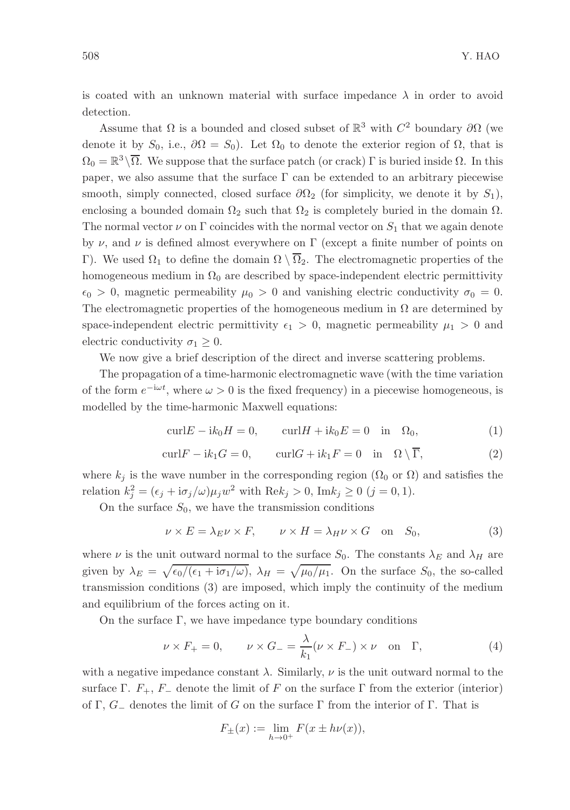is coated with an unknown material with surface impedance  $\lambda$  in order to avoid detection.

Assume that  $\Omega$  is a bounded and closed subset of  $\mathbb{R}^3$  with  $C^2$  boundary  $\partial\Omega$  (we denote it by  $S_0$ , i.e.,  $\partial\Omega = S_0$ ). Let  $\Omega_0$  to denote the exterior region of  $\Omega$ , that is  $\Omega_0 = \mathbb{R}^3 \setminus \overline{\Omega}$ . We suppose that the surface patch (or crack)  $\Gamma$  is buried inside  $\Omega$ . In this paper, we also assume that the surface  $\Gamma$  can be extended to an arbitrary piecewise smooth, simply connected, closed surface  $\partial\Omega_2$  (for simplicity, we denote it by  $S_1$ ), enclosing a bounded domain  $\Omega_2$  such that  $\Omega_2$  is completely buried in the domain  $\Omega$ . The normal vector  $\nu$  on  $\Gamma$  coincides with the normal vector on  $S_1$  that we again denote by  $\nu$ , and  $\nu$  is defined almost everywhere on Γ (except a finite number of points on Γ). We used  $\Omega_1$  to define the domain  $\Omega \setminus \overline{\Omega}_2$ . The electromagnetic properties of the homogeneous medium in  $\Omega_0$  are described by space-independent electric permittivity  $\epsilon_0 > 0$ , magnetic permeability  $\mu_0 > 0$  and vanishing electric conductivity  $\sigma_0 = 0$ . The electromagnetic properties of the homogeneous medium in  $\Omega$  are determined by space-independent electric permittivity  $\epsilon_1 > 0$ , magnetic permeability  $\mu_1 > 0$  and electric conductivity  $\sigma_1 \geq 0$ .

We now give a brief description of the direct and inverse scattering problems.

The propagation of a time-harmonic electromagnetic wave (with the time variation of the form  $e^{-i\omega t}$ , where  $\omega > 0$  is the fixed frequency) in a piecewise homogeneous, is modelled by the time-harmonic Maxwell equations:

$$
\text{curl}E - \text{i}k_0 H = 0, \qquad \text{curl}H + \text{i}k_0 E = 0 \quad \text{in} \quad \Omega_0,\tag{1}
$$

$$
\operatorname{curl} F - i k_1 G = 0, \qquad \operatorname{curl} G + i k_1 F = 0 \quad \text{in} \quad \Omega \setminus \overline{\Gamma}, \tag{2}
$$

where  $k_j$  is the wave number in the corresponding region ( $\Omega_0$  or  $\Omega$ ) and satisfies the relation  $k_j^2 = (\epsilon_j + i\sigma_j/\omega)\mu_j w^2$  with  $\text{Re}k_j > 0$ ,  $\text{Im}k_j \ge 0$   $(j = 0, 1)$ .

On the surface  $S_0$ , we have the transmission conditions

$$
\nu \times E = \lambda_E \nu \times F, \qquad \nu \times H = \lambda_H \nu \times G \quad \text{on} \quad S_0,
$$
 (3)

where  $\nu$  is the unit outward normal to the surface  $S_0$ . The constants  $\lambda_E$  and  $\lambda_H$  are given by  $\lambda_E = \sqrt{\epsilon_0/(\epsilon_1 + i \sigma_1/\omega)}$ ,  $\lambda_H = \sqrt{\mu_0/\mu_1}$ . On the surface  $S_0$ , the so-called transmission conditions (3) are imposed, which imply the continuity of the medium and equilibrium of the forces acting on it.

On the surface  $\Gamma$ , we have impedance type boundary conditions

$$
\nu \times F_+ = 0, \qquad \nu \times G_- = \frac{\lambda}{k_1} (\nu \times F_-) \times \nu \quad \text{on} \quad \Gamma,
$$
 (4)

with a negative impedance constant  $\lambda$ . Similarly,  $\nu$  is the unit outward normal to the surface Γ.  $F_+$ ,  $F_-$  denote the limit of F on the surface Γ from the exterior (interior) of Γ,  $G_{-}$  denotes the limit of G on the surface Γ from the interior of Γ. That is

$$
F_{\pm}(x) := \lim_{h \to 0^+} F(x \pm h\nu(x)),
$$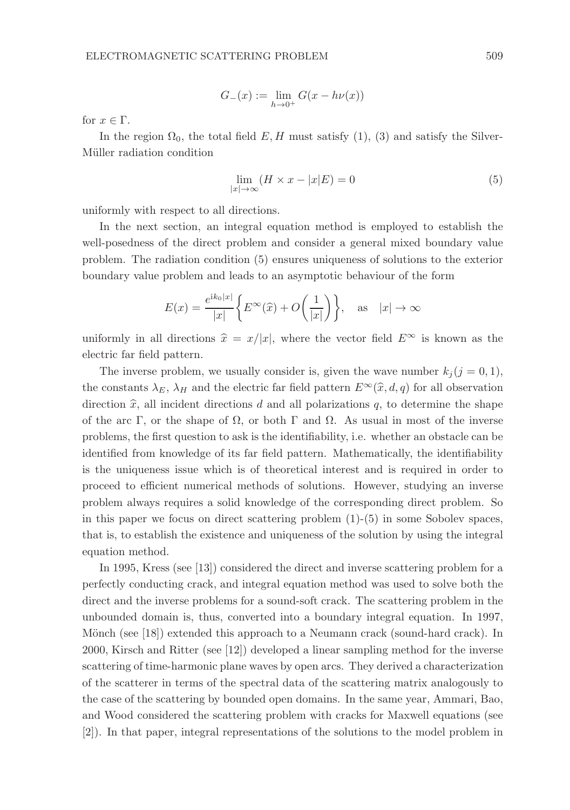$$
G_{-}(x) := \lim_{h \to 0^{+}} G(x - h\nu(x))
$$

for  $x \in \Gamma$ .

In the region  $\Omega_0$ , the total field E, H must satisfy (1), (3) and satisfy the Silver-Müller radiation condition

$$
\lim_{|x| \to \infty} (H \times x - |x|E) = 0 \tag{5}
$$

uniformly with respect to all directions.

In the next section, an integral equation method is employed to establish the well-posedness of the direct problem and consider a general mixed boundary value problem. The radiation condition (5) ensures uniqueness of solutions to the exterior boundary value problem and leads to an asymptotic behaviour of the form

$$
E(x) = \frac{e^{ik_0|x|}}{|x|} \left\{ E^{\infty}(\widehat{x}) + O\left(\frac{1}{|x|}\right) \right\}, \quad \text{as} \quad |x| \to \infty
$$

uniformly in all directions  $\hat{x} = x/|x|$ , where the vector field  $E^{\infty}$  is known as the electric far field pattern.

The inverse problem, we usually consider is, given the wave number  $k_j$  ( $j = 0, 1$ ), the constants  $\lambda_E$ ,  $\lambda_H$  and the electric far field pattern  $E^{\infty}(\hat{x}, d, q)$  for all observation direction  $\hat{x}$ , all incident directions d and all polarizations q, to determine the shape of the arc Γ, or the shape of  $\Omega$ , or both Γ and  $\Omega$ . As usual in most of the inverse problems, the first question to ask is the identifiability, i.e. whether an obstacle can be identified from knowledge of its far field pattern. Mathematically, the identifiability is the uniqueness issue which is of theoretical interest and is required in order to proceed to efficient numerical methods of solutions. However, studying an inverse problem always requires a solid knowledge of the corresponding direct problem. So in this paper we focus on direct scattering problem (1)-(5) in some Sobolev spaces, that is, to establish the existence and uniqueness of the solution by using the integral equation method.

In 1995, Kress (see [13]) considered the direct and inverse scattering problem for a perfectly conducting crack, and integral equation method was used to solve both the direct and the inverse problems for a sound-soft crack. The scattering problem in the unbounded domain is, thus, converted into a boundary integral equation. In 1997, Mönch (see  $[18]$ ) extended this approach to a Neumann crack (sound-hard crack). In 2000, Kirsch and Ritter (see [12]) developed a linear sampling method for the inverse scattering of time-harmonic plane waves by open arcs. They derived a characterization of the scatterer in terms of the spectral data of the scattering matrix analogously to the case of the scattering by bounded open domains. In the same year, Ammari, Bao, and Wood considered the scattering problem with cracks for Maxwell equations (see [2]). In that paper, integral representations of the solutions to the model problem in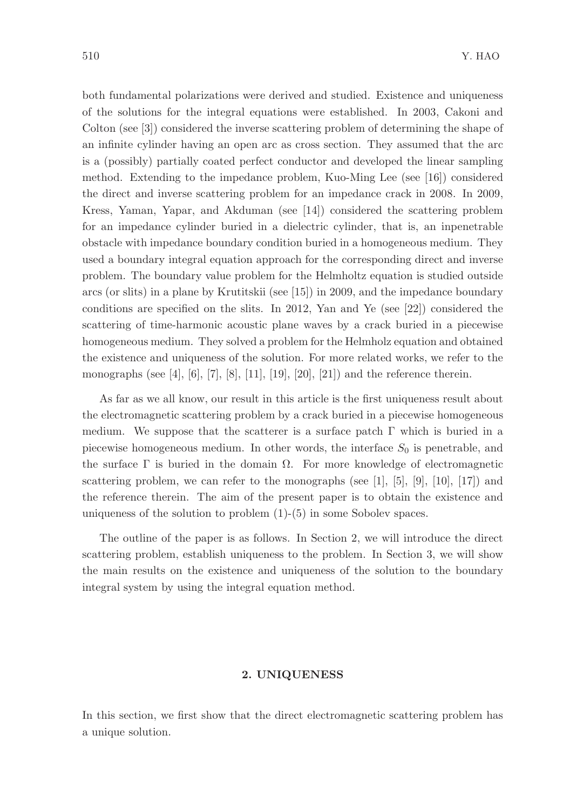both fundamental polarizations were derived and studied. Existence and uniqueness of the solutions for the integral equations were established. In 2003, Cakoni and Colton (see [3]) considered the inverse scattering problem of determining the shape of an infinite cylinder having an open arc as cross section. They assumed that the arc is a (possibly) partially coated perfect conductor and developed the linear sampling method. Extending to the impedance problem, Kuo-Ming Lee (see [16]) considered the direct and inverse scattering problem for an impedance crack in 2008. In 2009, Kress, Yaman, Yapar, and Akduman (see [14]) considered the scattering problem for an impedance cylinder buried in a dielectric cylinder, that is, an inpenetrable obstacle with impedance boundary condition buried in a homogeneous medium. They used a boundary integral equation approach for the corresponding direct and inverse problem. The boundary value problem for the Helmholtz equation is studied outside arcs (or slits) in a plane by Krutitskii (see [15]) in 2009, and the impedance boundary conditions are specified on the slits. In 2012, Yan and Ye (see [22]) considered the scattering of time-harmonic acoustic plane waves by a crack buried in a piecewise homogeneous medium. They solved a problem for the Helmholz equation and obtained the existence and uniqueness of the solution. For more related works, we refer to the monographs (see [4], [6], [7], [8], [11], [19], [20], [21]) and the reference therein.

As far as we all know, our result in this article is the first uniqueness result about the electromagnetic scattering problem by a crack buried in a piecewise homogeneous medium. We suppose that the scatterer is a surface patch  $\Gamma$  which is buried in a piecewise homogeneous medium. In other words, the interface  $S_0$  is penetrable, and the surface  $\Gamma$  is buried in the domain  $\Omega$ . For more knowledge of electromagnetic scattering problem, we can refer to the monographs (see  $[1]$ ,  $[5]$ ,  $[9]$ ,  $[10]$ ,  $[17]$ ) and the reference therein. The aim of the present paper is to obtain the existence and uniqueness of the solution to problem (1)-(5) in some Sobolev spaces.

The outline of the paper is as follows. In Section 2, we will introduce the direct scattering problem, establish uniqueness to the problem. In Section 3, we will show the main results on the existence and uniqueness of the solution to the boundary integral system by using the integral equation method.

## 2. UNIQUENESS

In this section, we first show that the direct electromagnetic scattering problem has a unique solution.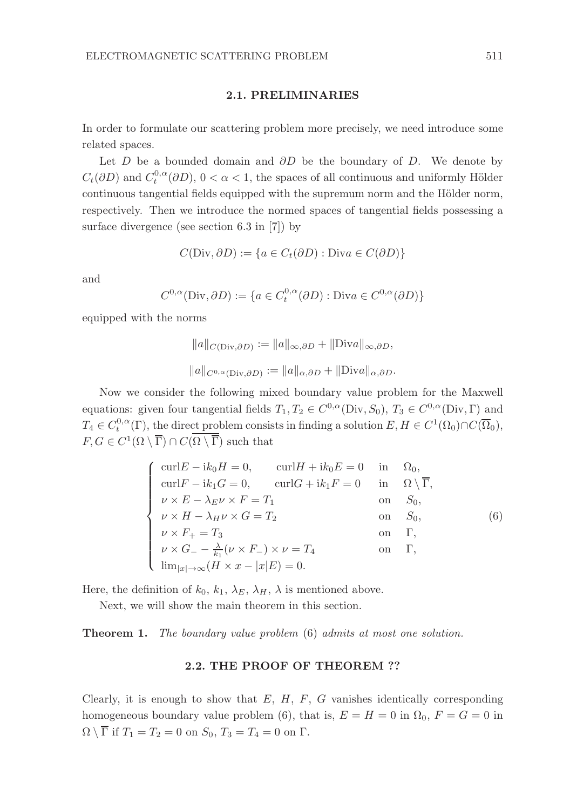#### 2.1. PRELIMINARIES

In order to formulate our scattering problem more precisely, we need introduce some related spaces.

Let D be a bounded domain and  $\partial D$  be the boundary of D. We denote by  $C_t(\partial D)$  and  $C_t^{0,\alpha}(\partial D)$ ,  $0 < \alpha < 1$ , the spaces of all continuous and uniformly Hölder continuous tangential fields equipped with the supremum norm and the Hölder norm, respectively. Then we introduce the normed spaces of tangential fields possessing a surface divergence (see section 6.3 in [7]) by

$$
C(Div, \partial D) := \{ a \in C_t(\partial D) : \text{Div} a \in C(\partial D) \}
$$

and

$$
C^{0,\alpha}(\text{Div},\partial D) := \{ a \in C^{0,\alpha}_t(\partial D) : \text{Div} a \in C^{0,\alpha}(\partial D) \}
$$

equipped with the norms

$$
||a||_{C(\text{Div},\partial D)} := ||a||_{\infty,\partial D} + ||\text{Div}a||_{\infty,\partial D},
$$
  

$$
||a||_{C^{0,\alpha}(\text{Div},\partial D)} := ||a||_{\alpha,\partial D} + ||\text{Div}a||_{\alpha,\partial D}.
$$

Now we consider the following mixed boundary value problem for the Maxwell equations: given four tangential fields  $T_1, T_2 \in C^{0,\alpha}(\text{Div}, S_0)$ ,  $T_3 \in C^{0,\alpha}(\text{Div}, \Gamma)$  and  $T_4 \in C_t^{0,\alpha}(\Gamma)$ , the direct problem consists in finding a solution  $E, H \in C^1(\Omega_0) \cap C(\overline{\Omega}_0)$ ,  $F, G \in C^1(\Omega \setminus \overline{\Gamma}) \cap C(\Omega \setminus \overline{\Gamma})$  such that

$$
\begin{cases}\n\text{curl}E - \text{i}k_0H = 0, & \text{curl}H + \text{i}k_0E = 0 & \text{in} \quad \Omega_0, \\
\text{curl}F - \text{i}k_1G = 0, & \text{curl}G + \text{i}k_1F = 0 & \text{in} \quad \Omega \setminus \overline{\Gamma}, \\
\nu \times E - \lambda_E \nu \times F = T_1 & \text{on} \quad S_0, \\
\nu \times H - \lambda_H \nu \times G = T_2 & \text{on} \quad S_0, \\
\nu \times F_+ = T_3 & \text{on} \quad \Gamma, \\
\nu \times G_- - \frac{\lambda}{k_1}(\nu \times F_-) \times \nu = T_4 & \text{on} \quad \Gamma, \\
\lim_{|x| \to \infty} (H \times x - |x|E) = 0.\n\end{cases}
$$
\n(6)

Here, the definition of  $k_0, k_1, \lambda_E, \lambda_H, \lambda$  is mentioned above.

Next, we will show the main theorem in this section.

Theorem 1. The boundary value problem (6) admits at most one solution.

#### 2.2. THE PROOF OF THEOREM ??

Clearly, it is enough to show that  $E, H, F, G$  vanishes identically corresponding homogeneous boundary value problem (6), that is,  $E = H = 0$  in  $\Omega_0$ ,  $F = G = 0$  in  $\Omega \setminus \overline{\Gamma}$  if  $T_1 = T_2 = 0$  on  $S_0$ ,  $T_3 = T_4 = 0$  on  $\Gamma$ .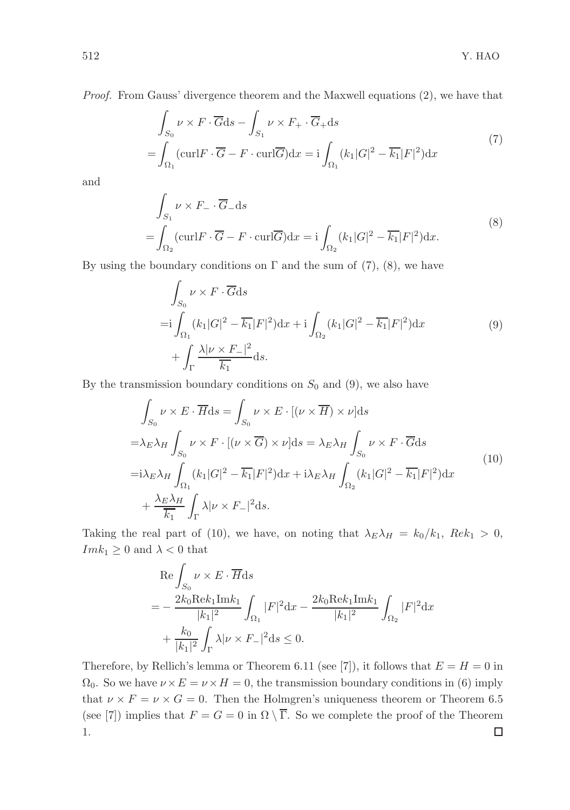Proof. From Gauss' divergence theorem and the Maxwell equations (2), we have that

$$
\int_{S_0} \nu \times F \cdot \overline{G} ds - \int_{S_1} \nu \times F_+ \cdot \overline{G}_+ ds
$$
\n
$$
= \int_{\Omega_1} (\operatorname{curl} F \cdot \overline{G} - F \cdot \operatorname{curl} \overline{G}) dx = i \int_{\Omega_1} (k_1 |G|^2 - \overline{k_1} |F|^2) dx
$$
\n(7)

and

$$
\int_{S_1} \nu \times F_- \cdot \overline{G}_- ds
$$
\n
$$
= \int_{\Omega_2} (\operatorname{curl} F \cdot \overline{G} - F \cdot \operatorname{curl} \overline{G}) dx = i \int_{\Omega_2} (k_1 |G|^2 - \overline{k_1} |F|^2) dx.
$$
\n(8)

By using the boundary conditions on  $\Gamma$  and the sum of (7), (8), we have

$$
\int_{S_0} \nu \times F \cdot \overline{G} ds
$$
\n
$$
=i \int_{\Omega_1} (k_1 |G|^2 - \overline{k_1}|F|^2) dx + i \int_{\Omega_2} (k_1 |G|^2 - \overline{k_1}|F|^2) dx
$$
\n
$$
+ \int_{\Gamma} \frac{\lambda |\nu \times F_{-}|^2}{\overline{k_1}} ds.
$$
\n(9)

By the transmission boundary conditions on  $S_0$  and (9), we also have

$$
\int_{S_0} \nu \times E \cdot \overline{H} ds = \int_{S_0} \nu \times E \cdot [(\nu \times \overline{H}) \times \nu] ds
$$
  
\n
$$
= \lambda_E \lambda_H \int_{S_0} \nu \times F \cdot [(\nu \times \overline{G}) \times \nu] ds = \lambda_E \lambda_H \int_{S_0} \nu \times F \cdot \overline{G} ds
$$
  
\n
$$
= i \lambda_E \lambda_H \int_{\Omega_1} (k_1 |G|^2 - \overline{k_1} |F|^2) dx + i \lambda_E \lambda_H \int_{\Omega_2} (k_1 |G|^2 - \overline{k_1} |F|^2) dx
$$
  
\n
$$
+ \frac{\lambda_E \lambda_H}{\overline{k_1}} \int_{\Gamma} \lambda | \nu \times F_- |^2 ds.
$$
\n(10)

Taking the real part of (10), we have, on noting that  $\lambda_E \lambda_H = k_0/k_1$ ,  $Re k_1 > 0$ ,  $Im k_1 \geq 0$  and  $\lambda < 0$  that

$$
\begin{aligned} &\operatorname{Re}\int_{S_0}\nu\times E\cdot\overline{H}\mathrm{d}s\\ =&-\frac{2k_0\mathrm{Re}k_1\mathrm{Im}k_1}{|k_1|^2}\int_{\Omega_1}|F|^2\mathrm{d}x-\frac{2k_0\mathrm{Re}k_1\mathrm{Im}k_1}{|k_1|^2}\int_{\Omega_2}|F|^2\mathrm{d}x\\ &+\frac{k_0}{|k_1|^2}\int_{\Gamma}\lambda|\nu\times F_-|^2\mathrm{d}s\leq 0. \end{aligned}
$$

Therefore, by Rellich's lemma or Theorem 6.11 (see [7]), it follows that  $E = H = 0$  in  $\Omega_0$ . So we have  $\nu \times E = \nu \times H = 0$ , the transmission boundary conditions in (6) imply that  $\nu \times F = \nu \times G = 0$ . Then the Holmgren's uniqueness theorem or Theorem 6.5 (see [7]) implies that  $F = G = 0$  in  $\Omega \setminus \overline{\Gamma}$ . So we complete the proof of the Theorem 1. $\Box$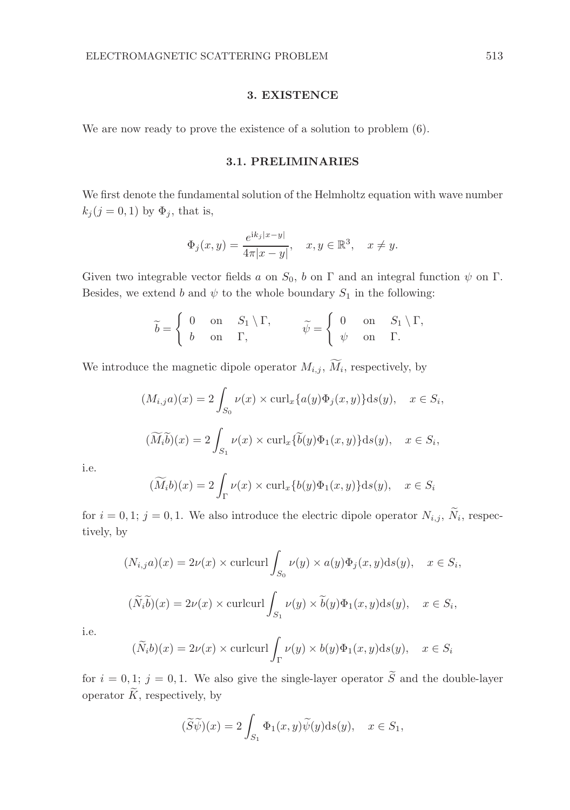## 3. EXISTENCE

We are now ready to prove the existence of a solution to problem (6).

# 3.1. PRELIMINARIES

We first denote the fundamental solution of the Helmholtz equation with wave number  $k_j$  (j = 0, 1) by  $\Phi_j$ , that is,

$$
\Phi_j(x, y) = \frac{e^{ik_j|x-y|}}{4\pi|x-y|}, \quad x, y \in \mathbb{R}^3, \quad x \neq y.
$$

Given two integrable vector fields a on  $S_0$ , b on Γ and an integral function  $\psi$  on Γ. Besides, we extend b and  $\psi$  to the whole boundary  $S_1$  in the following:

$$
\widetilde{b} = \begin{cases} 0 & \text{on} \quad S_1 \setminus \Gamma, \\ b & \text{on} \quad \Gamma, \end{cases} \qquad \widetilde{\psi} = \begin{cases} 0 & \text{on} \quad S_1 \setminus \Gamma, \\ \psi & \text{on} \quad \Gamma. \end{cases}
$$

We introduce the magnetic dipole operator  $M_{i,j}$ ,  $M_i$ , respectively, by

$$
(M_{i,j}a)(x) = 2 \int_{S_0} \nu(x) \times \operatorname{curl}_x \{a(y)\Phi_j(x,y)\} \mathrm{d}s(y), \quad x \in S_i,
$$
  

$$
(\widetilde{M_i b})(x) = 2 \int_{S_1} \nu(x) \times \operatorname{curl}_x \{\widetilde{b}(y)\Phi_1(x,y)\} \mathrm{d}s(y), \quad x \in S_i,
$$

i.e.

$$
(\widetilde{M}_i b)(x) = 2 \int_{\Gamma} \nu(x) \times \operatorname{curl}_x \{b(y)\Phi_1(x, y)\} \mathrm{d}s(y), \quad x \in S_i
$$

for  $i = 0, 1; j = 0, 1$ . We also introduce the electric dipole operator  $N_{i,j}$ ,  $N_i$ , respectively, by

$$
(N_{i,j}a)(x) = 2\nu(x) \times \text{curl} \cdot \text{curl} \int_{S_0} \nu(y) \times a(y)\Phi_j(x, y) \text{d}s(y), \quad x \in S_i,
$$
  

$$
(\widetilde{N}_i \widetilde{b})(x) = 2\nu(x) \times \text{curl} \cdot \text{curl} \int_{S_1} \nu(y) \times \widetilde{b}(y)\Phi_1(x, y) \text{d}s(y), \quad x \in S_i,
$$

i.e.

$$
(\widetilde{N}_i b)(x) = 2\nu(x) \times \text{curlcurl} \int_{\Gamma} \nu(y) \times b(y) \Phi_1(x, y) \text{d}s(y), \quad x \in S_i
$$

for  $i = 0, 1$ ;  $j = 0, 1$ . We also give the single-layer operator  $\widetilde{S}$  and the double-layer operator  $\widetilde{K}$ , respectively, by

$$
(\widetilde{S}\widetilde{\psi})(x)=2\int_{S_1}\Phi_1(x,y)\widetilde{\psi}(y)\mathrm{d}s(y),\quad x\in S_1,
$$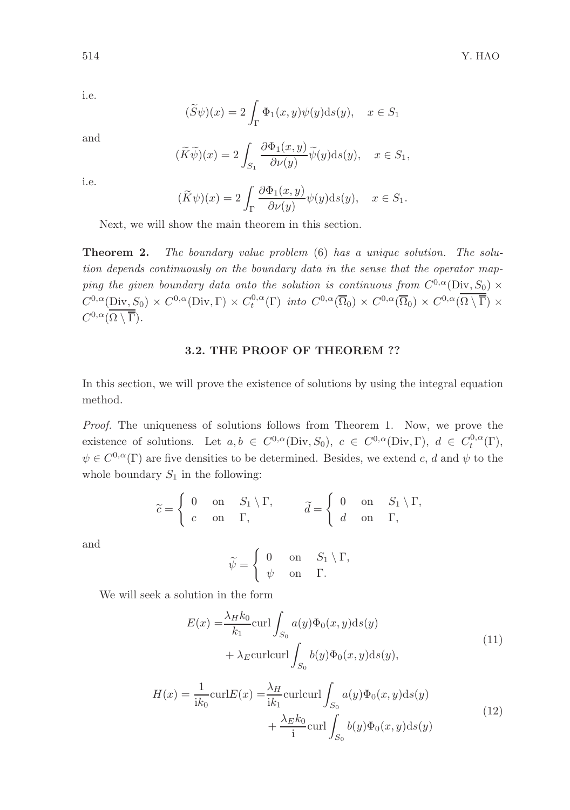i.e.

$$
(\widetilde{S}\psi)(x)=2\int_\Gamma \Phi_1(x,y)\psi(y){\rm d} s(y),\quad x\in S_1
$$

and

$$
(\widetilde{K}\widetilde{\psi})(x) = 2 \int_{S_1} \frac{\partial \Phi_1(x, y)}{\partial \nu(y)} \widetilde{\psi}(y) \mathrm{d}s(y), \quad x \in S_1,
$$

i.e.

$$
(\widetilde{K}\psi)(x) = 2\int_{\Gamma} \frac{\partial \Phi_1(x, y)}{\partial \nu(y)} \psi(y) \mathrm{d}s(y), \quad x \in S_1.
$$

Next, we will show the main theorem in this section.

**Theorem 2.** The boundary value problem (6) has a unique solution. The solution depends continuously on the boundary data in the sense that the operator mapping the given boundary data onto the solution is continuous from  $C^{0,\alpha}(\text{Div}, S_0) \times$  $C^{0,\alpha}(\text{Div}, S_0) \times C^{0,\alpha}(\text{Div}, \Gamma) \times C_t^{0,\alpha}(\Gamma)$  into  $C^{0,\alpha}(\overline{\Omega}_0) \times C^{0,\alpha}(\overline{\Omega}_0) \times C^{0,\alpha}(\overline{\Omega} \setminus \overline{\Gamma}) \times$  $C^{0,\alpha}(\Omega\setminus\overline{\Gamma}).$ 

#### 3.2. THE PROOF OF THEOREM ??

In this section, we will prove the existence of solutions by using the integral equation method.

Proof. The uniqueness of solutions follows from Theorem 1. Now, we prove the existence of solutions. Let  $a, b \in C^{0,\alpha}(\text{Div}, S_0), c \in C^{0,\alpha}(\text{Div}, \Gamma), d \in C_t^{0,\alpha}(\Gamma),$  $\psi \in C^{0,\alpha}(\Gamma)$  are five densities to be determined. Besides, we extend c, d and  $\psi$  to the whole boundary  $S_1$  in the following:

$$
\widetilde{c} = \begin{cases} 0 & \text{on} \quad S_1 \setminus \Gamma, \\ c & \text{on} \quad \Gamma, \end{cases} \qquad \widetilde{d} = \begin{cases} 0 & \text{on} \quad S_1 \setminus \Gamma, \\ d & \text{on} \quad \Gamma, \end{cases}
$$

and

$$
\widetilde{\psi} = \begin{cases} 0 & \text{on } S_1 \setminus \Gamma, \\ \psi & \text{on } \Gamma. \end{cases}
$$

We will seek a solution in the form

$$
E(x) = \frac{\lambda_H k_0}{k_1} \operatorname{curl} \int_{S_0} a(y) \Phi_0(x, y) \mathrm{d}s(y)
$$
  
+  $\lambda_E \operatorname{curl}\operatorname{curl} \int_{S_0} b(y) \Phi_0(x, y) \mathrm{d}s(y)$ , (11)  

$$
H(x) = \frac{1}{ik_0} \operatorname{curl} E(x) = \frac{\lambda_H}{ik_1} \operatorname{curl}\operatorname{curl} \int_{S_0} a(y) \Phi_0(x, y) \mathrm{d}s(y)
$$

$$
+ \frac{\lambda_E k_0}{i} \operatorname{curl} \int_{S_0} b(y) \Phi_0(x, y) \mathrm{d}s(y)
$$
(12)

 $\int_{S_0} b(y) \Phi_0(x, y) \mathrm{d}s(y)$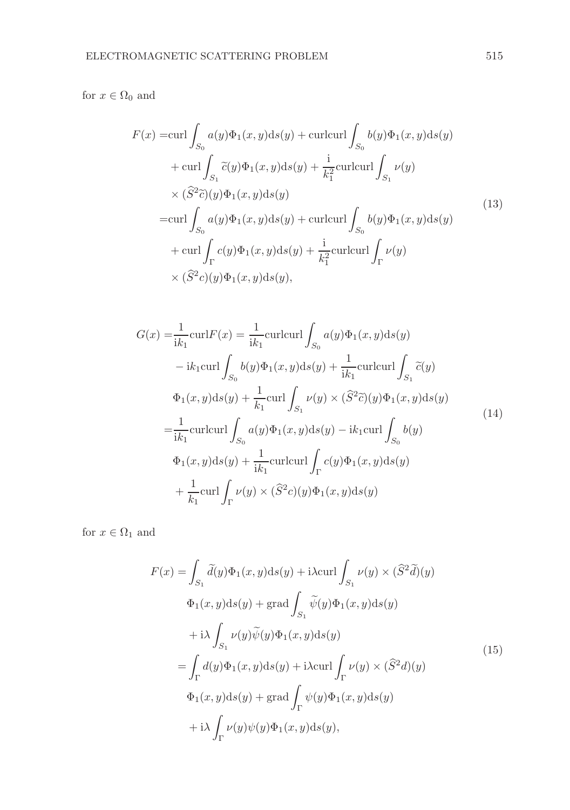for  $x \in \Omega_0$  and

$$
F(x) = \text{curl} \int_{S_0} a(y)\Phi_1(x, y)ds(y) + \text{curl}\text{curl} \int_{S_0} b(y)\Phi_1(x, y)ds(y)
$$
  
+ 
$$
\text{curl} \int_{S_1} \tilde{c}(y)\Phi_1(x, y)ds(y) + \frac{\text{i}}{k_1^2} \text{curl}\text{curl} \int_{S_1} \nu(y)
$$
  

$$
\times (\hat{S}^2 \tilde{c})(y)\Phi_1(x, y)ds(y)
$$
  
= 
$$
\text{curl} \int_{S_0} a(y)\Phi_1(x, y)ds(y) + \text{curl}\text{curl} \int_{S_0} b(y)\Phi_1(x, y)ds(y)
$$
  
+ 
$$
\text{curl} \int_{\Gamma} c(y)\Phi_1(x, y)ds(y) + \frac{\text{i}}{k_1^2} \text{curl}\text{curl} \int_{\Gamma} \nu(y)
$$
  

$$
\times (\hat{S}^2 c)(y)\Phi_1(x, y)ds(y),
$$
 (13)

$$
G(x) = \frac{1}{ik_1} \operatorname{curl} F(x) = \frac{1}{ik_1} \operatorname{curl} \operatorname{curl} \int_{S_0} a(y) \Phi_1(x, y) \mathrm{d}s(y)
$$
  
\n
$$
-ik_1 \operatorname{curl} \int_{S_0} b(y) \Phi_1(x, y) \mathrm{d}s(y) + \frac{1}{ik_1} \operatorname{curl} \int_{S_1} \tilde{c}(y)
$$
  
\n
$$
\Phi_1(x, y) \mathrm{d}s(y) + \frac{1}{k_1} \operatorname{curl} \int_{S_1} \nu(y) \times (\hat{S}^2 \tilde{c})(y) \Phi_1(x, y) \mathrm{d}s(y)
$$
  
\n
$$
= \frac{1}{ik_1} \operatorname{curl} \operatorname{curl} \int_{S_0} a(y) \Phi_1(x, y) \mathrm{d}s(y) - ik_1 \operatorname{curl} \int_{S_0} b(y)
$$
  
\n
$$
\Phi_1(x, y) \mathrm{d}s(y) + \frac{1}{ik_1} \operatorname{curl} \operatorname{curl} \int_{\Gamma} c(y) \Phi_1(x, y) \mathrm{d}s(y)
$$
  
\n
$$
+ \frac{1}{k_1} \operatorname{curl} \int_{\Gamma} \nu(y) \times (\hat{S}^2 c)(y) \Phi_1(x, y) \mathrm{d}s(y)
$$
 (14)

for  $x \in \Omega_1$  and

$$
F(x) = \int_{S_1} \tilde{d}(y)\Phi_1(x, y)ds(y) + i\lambda \operatorname{curl} \int_{S_1} \nu(y) \times (\hat{S}^2 \tilde{d})(y)
$$
  

$$
\Phi_1(x, y)ds(y) + \operatorname{grad} \int_{S_1} \tilde{\psi}(y)\Phi_1(x, y)ds(y)
$$
  

$$
+ i\lambda \int_{S_1} \nu(y)\tilde{\psi}(y)\Phi_1(x, y)ds(y)
$$
  

$$
= \int_{\Gamma} d(y)\Phi_1(x, y)ds(y) + i\lambda \operatorname{curl} \int_{\Gamma} \nu(y) \times (\hat{S}^2 d)(y)
$$
  

$$
\Phi_1(x, y)ds(y) + \operatorname{grad} \int_{\Gamma} \psi(y)\Phi_1(x, y)ds(y)
$$
  

$$
+ i\lambda \int_{\Gamma} \nu(y)\psi(y)\Phi_1(x, y)ds(y), \tag{15}
$$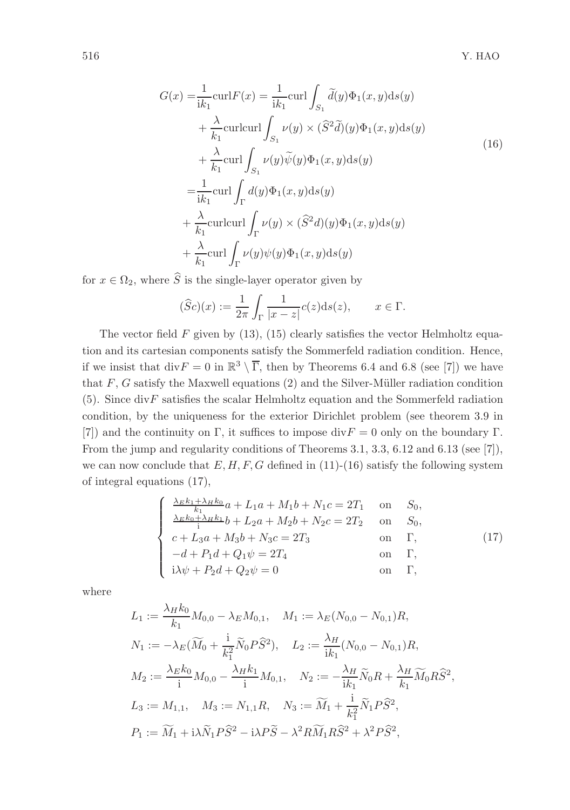$$
G(x) = \frac{1}{ik_1} \operatorname{curl} F(x) = \frac{1}{ik_1} \operatorname{curl} \int_{S_1} \tilde{d}(y) \Phi_1(x, y) \mathrm{d}s(y)
$$
  
+  $\frac{\lambda}{k_1} \operatorname{curl} \operatorname{curl} \int_{S_1} \nu(y) \times (\hat{S}^2 \tilde{d})(y) \Phi_1(x, y) \mathrm{d}s(y)$   
+  $\frac{\lambda}{k_1} \operatorname{curl} \int_{S_1} \nu(y) \tilde{\psi}(y) \Phi_1(x, y) \mathrm{d}s(y)$   
=  $\frac{1}{ik_1} \operatorname{curl} \int_{\Gamma} d(y) \Phi_1(x, y) \mathrm{d}s(y)$   
+  $\frac{\lambda}{k_1} \operatorname{curl} \int_{\Gamma} \nu(y) \times (\hat{S}^2 d)(y) \Phi_1(x, y) \mathrm{d}s(y)$   
+  $\frac{\lambda}{k_1} \operatorname{curl} \int_{\Gamma} \nu(y) \psi(y) \Phi_1(x, y) \mathrm{d}s(y)$ 

for  $x \in \Omega_2$ , where  $\widehat{S}$  is the single-layer operator given by

$$
(\widehat{S}c)(x) := \frac{1}{2\pi} \int_{\Gamma} \frac{1}{|x - z|} c(z) \mathrm{d}s(z), \qquad x \in \Gamma.
$$

The vector field  $F$  given by (13), (15) clearly satisfies the vector Helmholtz equation and its cartesian components satisfy the Sommerfeld radiation condition. Hence, if we insist that  $\text{div} F = 0$  in  $\mathbb{R}^3 \setminus \overline{\Gamma}$ , then by Theorems 6.4 and 6.8 (see [7]) we have that  $F, G$  satisfy the Maxwell equations (2) and the Silver-Müller radiation condition  $(5)$ . Since div $F$  satisfies the scalar Helmholtz equation and the Sommerfeld radiation condition, by the uniqueness for the exterior Dirichlet problem (see theorem 3.9 in [7]) and the continuity on Γ, it suffices to impose  $div F = 0$  only on the boundary Γ. From the jump and regularity conditions of Theorems 3.1, 3.3, 6.12 and 6.13 (see [7]), we can now conclude that  $E, H, F, G$  defined in (11)-(16) satisfy the following system of integral equations (17),

$$
\begin{cases}\n\frac{\lambda_{E}k_{1} + \lambda_{H}k_{0}}{k_{1}}a + L_{1}a + M_{1}b + N_{1}c = 2T_{1} & \text{on} \quad S_{0}, \\
\frac{\lambda_{E}k_{0} + \lambda_{H}k_{1}}{i}b + L_{2}a + M_{2}b + N_{2}c = 2T_{2} & \text{on} \quad S_{0}, \\
c + L_{3}a + M_{3}b + N_{3}c = 2T_{3} & \text{on} \quad \Gamma, \\
-d + P_{1}d + Q_{1}\psi = 2T_{4} & \text{on} \quad \Gamma, \\
i\lambda\psi + P_{2}d + Q_{2}\psi = 0 & \text{on} \quad \Gamma,\n\end{cases}
$$
\n(17)

where

$$
L_1 := \frac{\lambda_H k_0}{k_1} M_{0,0} - \lambda_E M_{0,1}, \quad M_1 := \lambda_E (N_{0,0} - N_{0,1}) R,
$$
  
\n
$$
N_1 := -\lambda_E (\widetilde{M}_0 + \frac{i}{k_1^2} \widetilde{N}_0 P \widehat{S}^2), \quad L_2 := \frac{\lambda_H}{ik_1} (N_{0,0} - N_{0,1}) R,
$$
  
\n
$$
M_2 := \frac{\lambda_E k_0}{i} M_{0,0} - \frac{\lambda_H k_1}{i} M_{0,1}, \quad N_2 := -\frac{\lambda_H}{i k_1} \widetilde{N}_0 R + \frac{\lambda_H}{k_1} \widetilde{M}_0 R \widehat{S}^2,
$$
  
\n
$$
L_3 := M_{1,1}, \quad M_3 := N_{1,1} R, \quad N_3 := \widetilde{M}_1 + \frac{i}{k_1^2} \widetilde{N}_1 P \widehat{S}^2,
$$
  
\n
$$
P_1 := \widetilde{M}_1 + i\lambda \widetilde{N}_1 P \widehat{S}^2 - i\lambda P \widetilde{S} - \lambda^2 R \widetilde{M}_1 R \widehat{S}^2 + \lambda^2 P \widehat{S}^2,
$$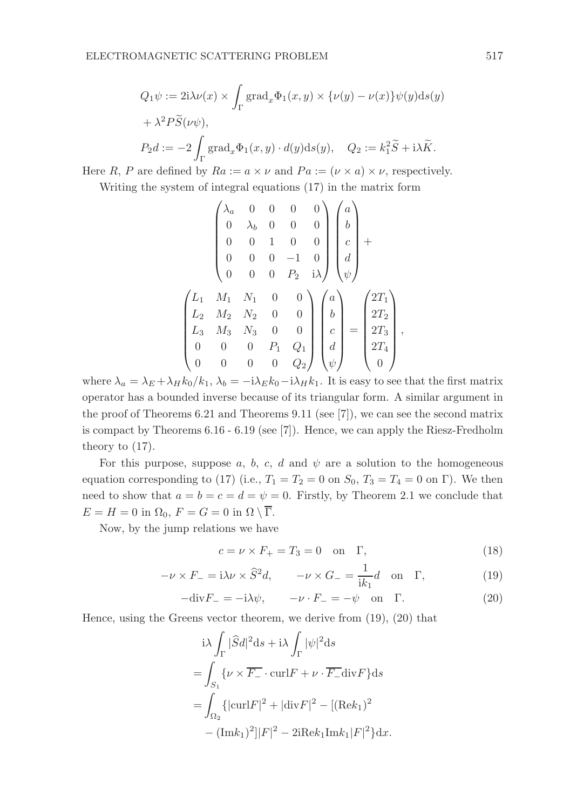$$
Q_1 \psi := 2i \lambda \nu(x) \times \int_{\Gamma} \text{grad}_x \Phi_1(x, y) \times \{\nu(y) - \nu(x)\} \psi(y) ds(y)
$$
  
+  $\lambda^2 P \widetilde{S}(\nu \psi)$ ,  
 $P_2 d := -2 \int_{\Gamma} \text{grad}_x \Phi_1(x, y) \cdot d(y) ds(y), \quad Q_2 := k_1^2 \widetilde{S} + i\lambda \widetilde{K}.$ 

Here R, P are defined by  $Ra := a \times \nu$  and  $Pa := (\nu \times a) \times \nu$ , respectively.

Writing the system of integral equations (17) in the matrix form

$$
\begin{pmatrix}\n\lambda_a & 0 & 0 & 0 & 0 \\
0 & \lambda_b & 0 & 0 & 0 \\
0 & 0 & 1 & 0 & 0 \\
0 & 0 & 0 & -1 & 0 \\
0 & 0 & 0 & P_2 & i\lambda\n\end{pmatrix}\n\begin{pmatrix}\na \\
b \\
c \\
d \\
\psi\n\end{pmatrix} +
$$
\n
$$
\begin{pmatrix}\nL_1 & M_1 & N_1 & 0 & 0 \\
L_2 & M_2 & N_2 & 0 & 0 \\
L_3 & M_3 & N_3 & 0 & 0 \\
0 & 0 & 0 & P_1 & Q_1 \\
0 & 0 & 0 & 0 & Q_2\n\end{pmatrix}\n\begin{pmatrix}\na \\
b \\
c \\
d \\
d \\
\psi\n\end{pmatrix} = \begin{pmatrix}\n2T_1 \\
2T_2 \\
2T_3 \\
2T_4 \\
0\n\end{pmatrix},
$$

where  $\lambda_a = \lambda_E + \lambda_H k_0/k_1$ ,  $\lambda_b = -i\lambda_E k_0 - i\lambda_H k_1$ . It is easy to see that the first matrix operator has a bounded inverse because of its triangular form. A similar argument in the proof of Theorems 6.21 and Theorems 9.11 (see [7]), we can see the second matrix is compact by Theorems 6.16 - 6.19 (see [7]). Hence, we can apply the Riesz-Fredholm theory to (17).

For this purpose, suppose a, b, c, d and  $\psi$  are a solution to the homogeneous equation corresponding to (17) (i.e.,  $T_1 = T_2 = 0$  on  $S_0$ ,  $T_3 = T_4 = 0$  on  $\Gamma$ ). We then need to show that  $a = b = c = d = \psi = 0$ . Firstly, by Theorem 2.1 we conclude that  $E = H = 0$  in  $\Omega_0$ ,  $F = G = 0$  in  $\Omega \setminus \overline{\Gamma}$ .

Now, by the jump relations we have

$$
c = \nu \times F_+ = T_3 = 0 \quad \text{on} \quad \Gamma,\tag{18}
$$

$$
-\nu \times F_{-} = i\lambda \nu \times \hat{S}^{2}d, \qquad -\nu \times G_{-} = \frac{1}{ik_{1}}d \quad \text{on} \quad \Gamma, \tag{19}
$$

$$
-\text{div}F_{-} = -i\lambda\psi, \qquad -\nu \cdot F_{-} = -\psi \quad \text{on} \quad \Gamma. \tag{20}
$$

Hence, using the Greens vector theorem, we derive from (19), (20) that

$$
\begin{aligned}\n&\text{i}\lambda \int_{\Gamma} |\widehat{S}d|^2 \, \text{d}s + \text{i}\lambda \int_{\Gamma} |\psi|^2 \, \text{d}s \\
&= \int_{S_1} \{ \nu \times \overline{F_{-}} \cdot \text{curl} F + \nu \cdot \overline{F_{-}} \, \text{div} F \} \, \text{d}s \\
&= \int_{\Omega_2} \{ |\text{curl} F|^2 + |\text{div} F|^2 - [(\text{Re} k_1)^2] - (\text{Im} k_1)^2] |F|^2 - 2 \text{i} \text{Re} k_1 \text{Im} k_1 |F|^2 \} \, \text{d}x.\n\end{aligned}
$$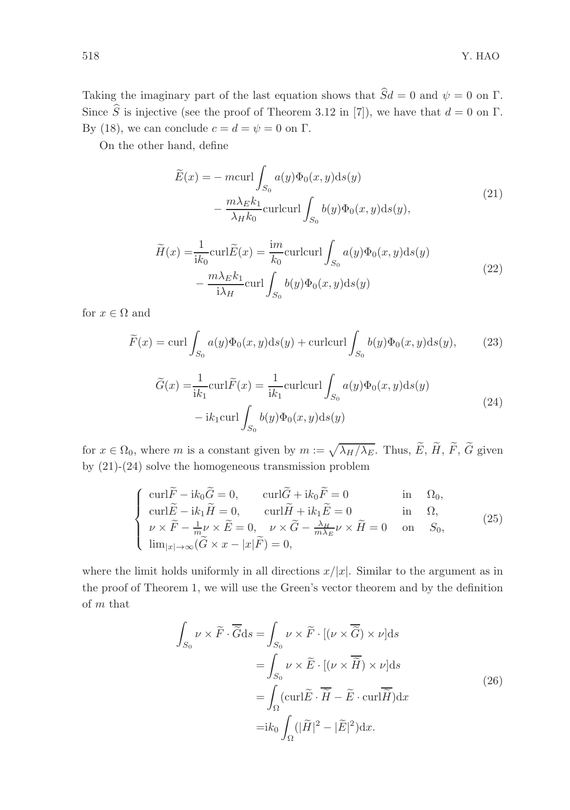Taking the imaginary part of the last equation shows that  $\hat{S}d = 0$  and  $\psi = 0$  on  $\Gamma$ . Since  $\hat{S}$  is injective (see the proof of Theorem 3.12 in [7]), we have that  $d = 0$  on  $\Gamma$ . By (18), we can conclude  $c = d = \psi = 0$  on  $\Gamma$ .

On the other hand, define

$$
\widetilde{E}(x) = -\operatorname{mcurl}\int_{S_0} a(y)\Phi_0(x, y)\mathrm{d}s(y) \n- \frac{m\lambda_E k_1}{\lambda_H k_0} \operatorname{curlcurl}\int_{S_0} b(y)\Phi_0(x, y)\mathrm{d}s(y),
$$
\n(21)

$$
\widetilde{H}(x) = \frac{1}{ik_0} \operatorname{curl} \widetilde{E}(x) = \frac{im}{k_0} \operatorname{curl} \operatorname{curl} \int_{S_0} a(y) \Phi_0(x, y) \mathrm{d}s(y) \n- \frac{m \lambda_E k_1}{i \lambda_H} \operatorname{curl} \int_{S_0} b(y) \Phi_0(x, y) \mathrm{d}s(y)
$$
\n(22)

for  $x \in \Omega$  and

$$
\widetilde{F}(x) = \operatorname{curl} \int_{S_0} a(y) \Phi_0(x, y) \mathrm{d}s(y) + \operatorname{curl}\operatorname{curl} \int_{S_0} b(y) \Phi_0(x, y) \mathrm{d}s(y),\tag{23}
$$

$$
\widetilde{G}(x) = \frac{1}{ik_1} \operatorname{curl} \widetilde{F}(x) = \frac{1}{ik_1} \operatorname{curl} \operatorname{curl} \int_{S_0} a(y) \Phi_0(x, y) \mathrm{d}s(y)
$$
\n
$$
-ik_1 \operatorname{curl} \int_{S_0} b(y) \Phi_0(x, y) \mathrm{d}s(y) \tag{24}
$$

for  $x \in \Omega_0$ , where m is a constant given by  $m := \sqrt{\lambda_H/\lambda_E}$ . Thus,  $\widetilde{E}$ ,  $\widetilde{H}$ ,  $\widetilde{F}$ ,  $\widetilde{G}$  given by (21)-(24) solve the homogeneous transmission problem

$$
\begin{cases}\n\operatorname{curl} \widetilde{F} - i k_0 \widetilde{G} = 0, & \operatorname{curl} \widetilde{G} + i k_0 \widetilde{F} = 0 & \text{in } \Omega_0, \\
\operatorname{curl} \widetilde{E} - i k_1 \widetilde{H} = 0, & \operatorname{curl} \widetilde{H} + i k_1 \widetilde{E} = 0 & \text{in } \Omega, \\
\nu \times \widetilde{F} - \frac{1}{m} \nu \times \widetilde{E} = 0, & \nu \times \widetilde{G} - \frac{\lambda \mu}{m \lambda_E} \nu \times \widetilde{H} = 0 & \text{on } S_0, \\
\lim_{|x| \to \infty} (\widetilde{G} \times x - |x| \widetilde{F}) = 0,\n\end{cases}
$$
\n(25)

where the limit holds uniformly in all directions  $x/|x|$ . Similar to the argument as in the proof of Theorem 1, we will use the Green's vector theorem and by the definition of m that

$$
\int_{S_0} \nu \times \tilde{F} \cdot \overline{\tilde{G}} ds = \int_{S_0} \nu \times \tilde{F} \cdot [(\nu \times \overline{\tilde{G}}) \times \nu] ds
$$

$$
= \int_{S_0} \nu \times \tilde{E} \cdot [(\nu \times \overline{\tilde{H}}) \times \nu] ds
$$

$$
= \int_{\Omega} (\text{curl}\tilde{E} \cdot \overline{\tilde{H}} - \tilde{E} \cdot \text{curl}\overline{\tilde{H}}) dx
$$

$$
= ik_0 \int_{\Omega} (|\tilde{H}|^2 - |\tilde{E}|^2) dx.
$$
 (26)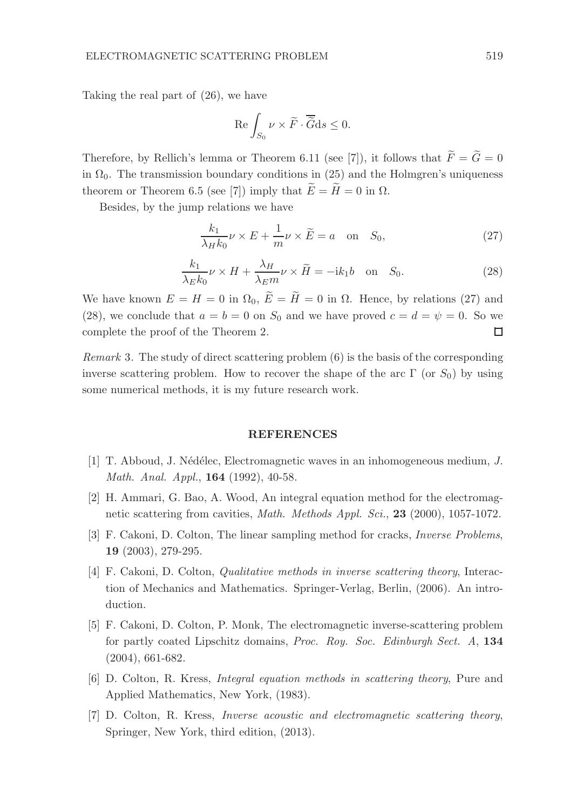Taking the real part of (26), we have

$$
\operatorname{Re}\int_{S_0}\nu\times\widetilde{F}\cdot\overline{\widetilde{G}}\mathrm{d}s\leq 0.
$$

Therefore, by Rellich's lemma or Theorem 6.11 (see [7]), it follows that  $\widetilde{F} = \widetilde{G} = 0$ in  $\Omega_0$ . The transmission boundary conditions in (25) and the Holmgren's uniqueness theorem or Theorem 6.5 (see [7]) imply that  $\widetilde{E} = \widetilde{H} = 0$  in  $\Omega$ .

Besides, by the jump relations we have

$$
\frac{k_1}{\lambda_H k_0} \nu \times E + \frac{1}{m} \nu \times \widetilde{E} = a \quad \text{on} \quad S_0,
$$
\n(27)

$$
\frac{k_1}{\lambda_E k_0} \nu \times H + \frac{\lambda_H}{\lambda_E m} \nu \times \widetilde{H} = -ik_1 b \quad \text{on} \quad S_0.
$$
 (28)

We have known  $E = H = 0$  in  $\Omega_0$ ,  $\widetilde{E} = \widetilde{H} = 0$  in  $\Omega$ . Hence, by relations (27) and (28), we conclude that  $a = b = 0$  on  $S_0$  and we have proved  $c = d = \psi = 0$ . So we complete the proof of the Theorem 2. □

Remark 3. The study of direct scattering problem (6) is the basis of the corresponding inverse scattering problem. How to recover the shape of the arc  $\Gamma$  (or  $S_0$ ) by using some numerical methods, it is my future research work.

#### REFERENCES

- [1] T. Abboud, J. N´ed´elec, Electromagnetic waves in an inhomogeneous medium, J. Math. Anal. Appl., **164** (1992), 40-58.
- [2] H. Ammari, G. Bao, A. Wood, An integral equation method for the electromagnetic scattering from cavities, Math. Methods Appl. Sci., 23 (2000), 1057-1072.
- [3] F. Cakoni, D. Colton, The linear sampling method for cracks, Inverse Problems, 19 (2003), 279-295.
- [4] F. Cakoni, D. Colton, Qualitative methods in inverse scattering theory, Interaction of Mechanics and Mathematics. Springer-Verlag, Berlin, (2006). An introduction.
- [5] F. Cakoni, D. Colton, P. Monk, The electromagnetic inverse-scattering problem for partly coated Lipschitz domains, Proc. Roy. Soc. Edinburgh Sect. A, 134 (2004), 661-682.
- [6] D. Colton, R. Kress, Integral equation methods in scattering theory, Pure and Applied Mathematics, New York, (1983).
- [7] D. Colton, R. Kress, Inverse acoustic and electromagnetic scattering theory, Springer, New York, third edition, (2013).